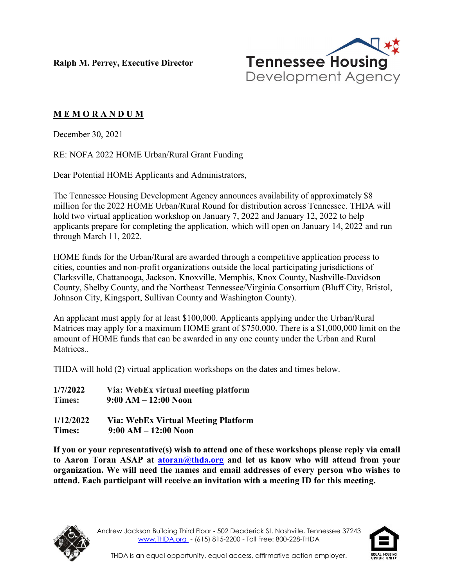**Ralph M. Perrey, Executive Director**



## **M E M O R A N D U M**

December 30, 2021

RE: NOFA 2022 HOME Urban/Rural Grant Funding

Dear Potential HOME Applicants and Administrators,

The Tennessee Housing Development Agency announces availability of approximately \$8 million for the 2022 HOME Urban/Rural Round for distribution across Tennessee. THDA will hold two virtual application workshop on January 7, 2022 and January 12, 2022 to help applicants prepare for completing the application, which will open on January 14, 2022 and run through March 11, 2022.

HOME funds for the Urban/Rural are awarded through a competitive application process to cities, counties and non-profit organizations outside the local participating jurisdictions of Clarksville, Chattanooga, Jackson, Knoxville, Memphis, Knox County, Nashville-Davidson County, Shelby County, and the Northeast Tennessee/Virginia Consortium (Bluff City, Bristol, Johnson City, Kingsport, Sullivan County and Washington County).

An applicant must apply for at least \$100,000. Applicants applying under the Urban/Rural Matrices may apply for a maximum HOME grant of \$750,000. There is a \$1,000,000 limit on the amount of HOME funds that can be awarded in any one county under the Urban and Rural Matrices..

THDA will hold (2) virtual application workshops on the dates and times below.

| 1/7/2022      | Via: WebEx virtual meeting platform |
|---------------|-------------------------------------|
| <b>Times:</b> | $9:00 AM - 12:00 Noon$              |
| 1/12/2022     | Via: WebEx Virtual Meeting Platform |
| Times:        | $9:00 AM - 12:00 N$ oon             |

**If you or your representative(s) wish to attend one of these workshops please reply via email to Aaron Toran ASAP at [atoran@thda.org](mailto:atoran@thda.org) and let us know who will attend from your organization. We will need the names and email addresses of every person who wishes to attend. Each participant will receive an invitation with a meeting ID for this meeting.**